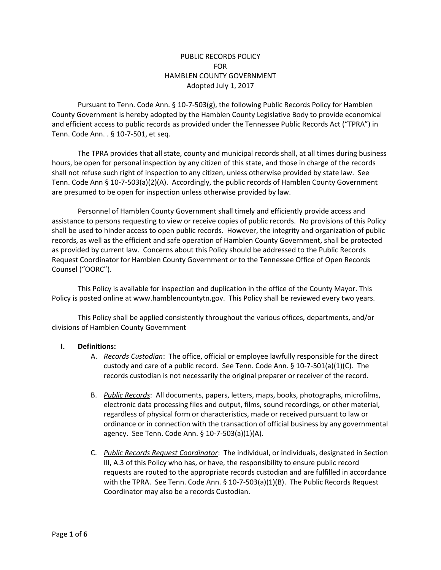# PUBLIC RECORDS POLICY FOR HAMBLEN COUNTY GOVERNMENT Adopted July 1, 2017

Pursuant to Tenn. Code Ann. § 10-7-503(g), the following Public Records Policy for Hamblen County Government is hereby adopted by the Hamblen County Legislative Body to provide economical and efficient access to public records as provided under the Tennessee Public Records Act ("TPRA") in Tenn. Code Ann. . § 10-7-501, et seq.

The TPRA provides that all state, county and municipal records shall, at all times during business hours, be open for personal inspection by any citizen of this state, and those in charge of the records shall not refuse such right of inspection to any citizen, unless otherwise provided by state law. See Tenn. Code Ann § 10-7-503(a)(2)(A). Accordingly, the public records of Hamblen County Government are presumed to be open for inspection unless otherwise provided by law.

Personnel of Hamblen County Government shall timely and efficiently provide access and assistance to persons requesting to view or receive copies of public records. No provisions of this Policy shall be used to hinder access to open public records. However, the integrity and organization of public records, as well as the efficient and safe operation of Hamblen County Government, shall be protected as provided by current law. Concerns about this Policy should be addressed to the Public Records Request Coordinator for Hamblen County Government or to the Tennessee Office of Open Records Counsel ("OORC").

This Policy is available for inspection and duplication in the office of the County Mayor. This Policy is posted online at www.hamblencountytn.gov. This Policy shall be reviewed every two years.

This Policy shall be applied consistently throughout the various offices, departments, and/or divisions of Hamblen County Government

## **I. Definitions:**

- A. *Records Custodian*: The office, official or employee lawfully responsible for the direct custody and care of a public record. See Tenn. Code Ann. § 10-7-501(a)(1)(C). The records custodian is not necessarily the original preparer or receiver of the record.
- B. *Public Records*: All documents, papers, letters, maps, books, photographs, microfilms, electronic data processing files and output, films, sound recordings, or other material, regardless of physical form or characteristics, made or received pursuant to law or ordinance or in connection with the transaction of official business by any governmental agency. See Tenn. Code Ann. § 10-7-503(a)(1)(A).
- C. *Public Records Request Coordinator*: The individual, or individuals, designated in Section III, A.3 of this Policy who has, or have, the responsibility to ensure public record requests are routed to the appropriate records custodian and are fulfilled in accordance with the TPRA. See Tenn. Code Ann. § 10-7-503(a)(1)(B). The Public Records Request Coordinator may also be a records Custodian.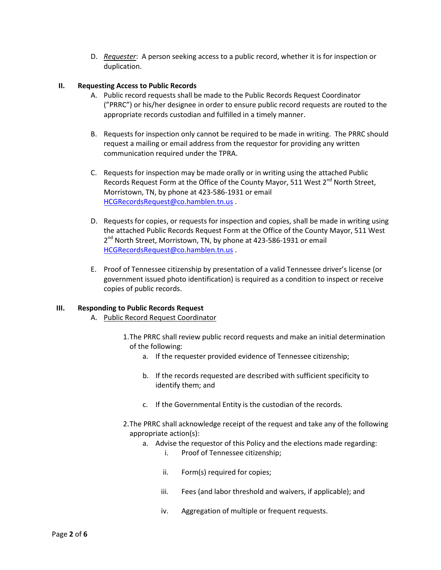D. *Requester*: A person seeking access to a public record, whether it is for inspection or duplication.

#### **II. Requesting Access to Public Records**

- A. Public record requests shall be made to the Public Records Request Coordinator ("PRRC") or his/her designee in order to ensure public record requests are routed to the appropriate records custodian and fulfilled in a timely manner.
- B. Requests for inspection only cannot be required to be made in writing. The PRRC should request a mailing or email address from the requestor for providing any written communication required under the TPRA.
- C. Requests for inspection may be made orally or in writing using the attached Public Records Request Form at the Office of the County Mayor, 511 West 2<sup>nd</sup> North Street, Morristown, TN, by phone at 423-586-1931 or email [HCGRecordsRequest@co.hamblen.tn.us](mailto:HCGRecordsRequest@co.hamblen.tn.us) .
- D. Requests for copies, or requests for inspection and copies, shall be made in writing using the attached Public Records Request Form at the Office of the County Mayor, 511 West 2<sup>nd</sup> North Street, Morristown, TN, by phone at 423-586-1931 or email [HCGRecordsRequest@co.hamblen.tn.us](mailto:HCGRecordsRequest@co.hamblen.tn.us) .
- E. Proof of Tennessee citizenship by presentation of a valid Tennessee driver's license (or government issued photo identification) is required as a condition to inspect or receive copies of public records.

#### **III. Responding to Public Records Request**

- A. Public Record Request Coordinator
	- 1.The PRRC shall review public record requests and make an initial determination of the following:
		- a. If the requester provided evidence of Tennessee citizenship;
		- b. If the records requested are described with sufficient specificity to identify them; and
		- c. If the Governmental Entity is the custodian of the records.
	- 2.The PRRC shall acknowledge receipt of the request and take any of the following appropriate action(s):
		- a. Advise the requestor of this Policy and the elections made regarding:
			- i. Proof of Tennessee citizenship;
			- ii. Form(s) required for copies;
			- iii. Fees (and labor threshold and waivers, if applicable); and
			- iv. Aggregation of multiple or frequent requests.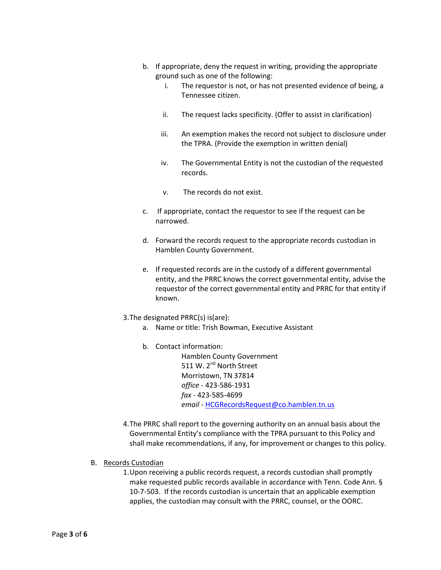- b. If appropriate, deny the request in writing, providing the appropriate ground such as one of the following:
	- i. The requestor is not, or has not presented evidence of being, a Tennessee citizen.
	- ii. The request lacks specificity. (Offer to assist in clarification)
	- iii. An exemption makes the record not subject to disclosure under the TPRA. (Provide the exemption in written denial)
	- iv. The Governmental Entity is not the custodian of the requested records.
	- v. The records do not exist.
- c. If appropriate, contact the requestor to see if the request can be narrowed.
- d. Forward the records request to the appropriate records custodian in Hamblen County Government.
- e. If requested records are in the custody of a different governmental entity, and the PRRC knows the correct governmental entity, advise the requestor of the correct governmental entity and PRRC for that entity if known.
- 3.The designated PRRC(s) is(are):
	- a. Name or title: Trish Bowman, Executive Assistant
	- b. Contact information:

Hamblen County Government 511 W. 2<sup>nd</sup> North Street Morristown, TN 37814 *office -* 423-586-1931 *fax* - 423-585-4699 *email -* [HCGRecordsRequest@co.hamblen.tn.us](mailto:HCGRecordsRequest@co.hamblen.tn.us)

- 4.The PRRC shall report to the governing authority on an annual basis about the Governmental Entity's compliance with the TPRA pursuant to this Policy and shall make recommendations, if any, for improvement or changes to this policy.
- B. Records Custodian
	- 1.Upon receiving a public records request, a records custodian shall promptly make requested public records available in accordance with Tenn. Code Ann. § 10-7-503. If the records custodian is uncertain that an applicable exemption applies, the custodian may consult with the PRRC, counsel, or the OORC.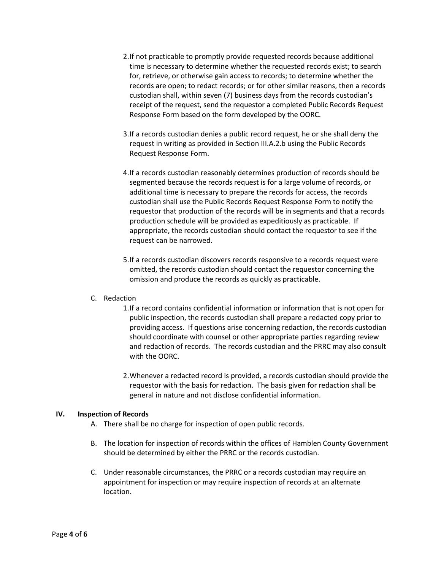- 2.If not practicable to promptly provide requested records because additional time is necessary to determine whether the requested records exist; to search for, retrieve, or otherwise gain access to records; to determine whether the records are open; to redact records; or for other similar reasons, then a records custodian shall, within seven (7) business days from the records custodian's receipt of the request, send the requestor a completed Public Records Request Response Form based on the form developed by the OORC.
- 3.If a records custodian denies a public record request, he or she shall deny the request in writing as provided in Section III.A.2.b using the Public Records Request Response Form.
- 4.If a records custodian reasonably determines production of records should be segmented because the records request is for a large volume of records, or additional time is necessary to prepare the records for access, the records custodian shall use the Public Records Request Response Form to notify the requestor that production of the records will be in segments and that a records production schedule will be provided as expeditiously as practicable. If appropriate, the records custodian should contact the requestor to see if the request can be narrowed.
- 5.If a records custodian discovers records responsive to a records request were omitted, the records custodian should contact the requestor concerning the omission and produce the records as quickly as practicable.

## C. Redaction

- 1.If a record contains confidential information or information that is not open for public inspection, the records custodian shall prepare a redacted copy prior to providing access. If questions arise concerning redaction, the records custodian should coordinate with counsel or other appropriate parties regarding review and redaction of records. The records custodian and the PRRC may also consult with the OORC.
- 2.Whenever a redacted record is provided, a records custodian should provide the requestor with the basis for redaction. The basis given for redaction shall be general in nature and not disclose confidential information.

## **IV. Inspection of Records**

- A. There shall be no charge for inspection of open public records.
- B. The location for inspection of records within the offices of Hamblen County Government should be determined by either the PRRC or the records custodian.
- C. Under reasonable circumstances, the PRRC or a records custodian may require an appointment for inspection or may require inspection of records at an alternate location.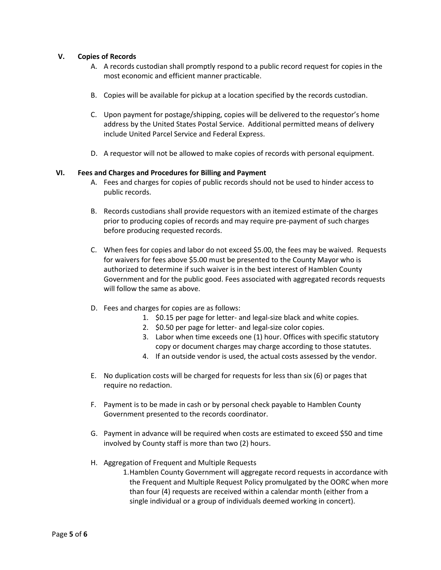#### **V. Copies of Records**

- A. A records custodian shall promptly respond to a public record request for copies in the most economic and efficient manner practicable.
- B. Copies will be available for pickup at a location specified by the records custodian.
- C. Upon payment for postage/shipping, copies will be delivered to the requestor's home address by the United States Postal Service. Additional permitted means of delivery include United Parcel Service and Federal Express.
- D. A requestor will not be allowed to make copies of records with personal equipment.

#### **VI. Fees and Charges and Procedures for Billing and Payment**

- A. Fees and charges for copies of public records should not be used to hinder access to public records.
- B. Records custodians shall provide requestors with an itemized estimate of the charges prior to producing copies of records and may require pre-payment of such charges before producing requested records.
- C. When fees for copies and labor do not exceed \$5.00, the fees may be waived. Requests for waivers for fees above \$5.00 must be presented to the County Mayor who is authorized to determine if such waiver is in the best interest of Hamblen County Government and for the public good. Fees associated with aggregated records requests will follow the same as above.
- D. Fees and charges for copies are as follows:
	- 1. \$0.15 per page for letter- and legal-size black and white copies.
	- 2. \$0.50 per page for letter- and legal-size color copies.
	- 3. Labor when time exceeds one (1) hour. Offices with specific statutory copy or document charges may charge according to those statutes.
	- 4. If an outside vendor is used, the actual costs assessed by the vendor.
- E. No duplication costs will be charged for requests for less than six (6) or pages that require no redaction.
- F. Payment is to be made in cash or by personal check payable to Hamblen County Government presented to the records coordinator.
- G. Payment in advance will be required when costs are estimated to exceed \$50 and time involved by County staff is more than two (2) hours.
- H. Aggregation of Frequent and Multiple Requests
	- 1.Hamblen County Government will aggregate record requests in accordance with the Frequent and Multiple Request Policy promulgated by the OORC when more than four (4) requests are received within a calendar month (either from a single individual or a group of individuals deemed working in concert).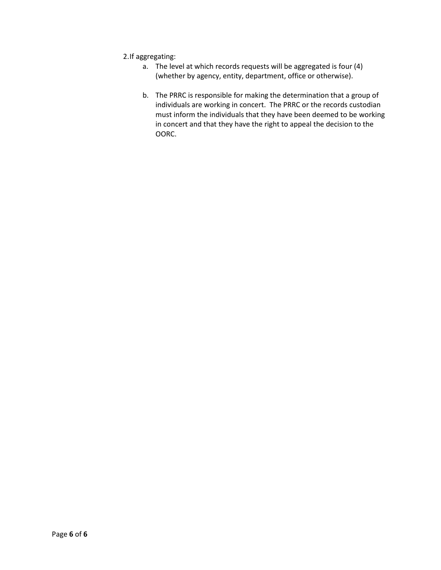- 2.If aggregating:
	- a. The level at which records requests will be aggregated is four (4) (whether by agency, entity, department, office or otherwise).
	- b. The PRRC is responsible for making the determination that a group of individuals are working in concert. The PRRC or the records custodian must inform the individuals that they have been deemed to be working in concert and that they have the right to appeal the decision to the OORC.